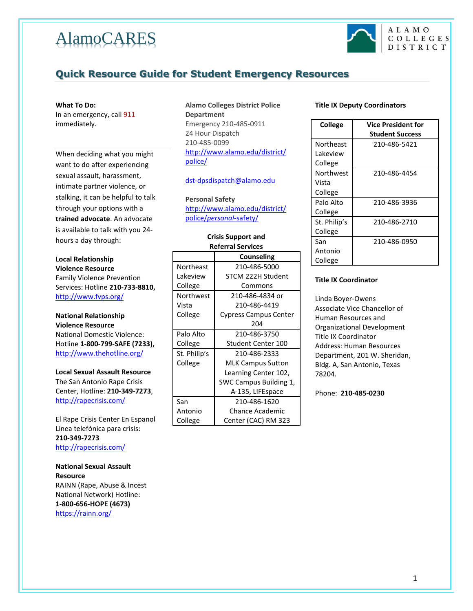# AlamoCARES



# **Quick Resource Guide for Student Emergency Resources**

### **What To Do:**

In an emergency, call 911 immediately.

When deciding what you might want to do after experiencing sexual assault, harassment, intimate partner violence, or stalking, it can be helpful to talk through your options with a **trained advocate**. An advocate is available to talk with you 24 hours a day through:

## **Local Relationship Violence Resource** Family Violence Prevention Services: Hotline **210-733-8810,** <http://www.fvps.org/>

## **National Relationship**

**Violence Resource** National Domestic Violence: Hotline **1-800-799-SAFE (7233),** <http://www.thehotline.org/>

**Local Sexual Assault Resource** The San Antonio Rape Crisis Center, Hotline: **210-349-7273**, <http://rapecrisis.com/>

El Rape Crisis Center En Espanol Linea telefónica para crisis: **210-349-7273** <http://rapecrisis.com/>

**National Sexual Assault Resource** RAINN (Rape, Abuse & Incest National Network) Hotline: **1-800-656-HOPE (4673)** <https://rainn.org/>

## **Alamo Colleges District Police Department** Emergency 210-485-0911 24 Hour Dispatch 210-485-0099 [http://www.alamo.edu/district/](http://www.alamo.edu/district/police/) [police/](http://www.alamo.edu/district/police/)

[dst-dpsdispatch@alamo.edu](mailto:dst-dpsdispatch@alamo.edu)

**Personal Safety** [http://www.alamo.edu/district/](http://www.alamo.edu/district/police/personal-safety/) police/*[personal](http://www.alamo.edu/district/police/personal-safety/)*-safety/

## **Crisis Support and Referral Services**

|              | Counseling                   |
|--------------|------------------------------|
| Northeast    | 210-486-5000                 |
| Lakeview     | STCM 222H Student            |
| College      | Commons                      |
| Northwest    | 210-486-4834 or              |
| Vista        | 210-486-4419                 |
| College      | <b>Cypress Campus Center</b> |
|              | 204                          |
| Palo Alto    | 210-486-3750                 |
| College      | Student Center 100           |
| St. Philip's | 210-486-2333                 |
| College      | <b>MLK Campus Sutton</b>     |
|              | Learning Center 102,         |
|              | SWC Campus Building 1,       |
|              | A-135, LIFEspace             |
| San          | 210-486-1620                 |
| Antonio      | Chance Academic              |
| College      | Center (CAC) RM 323          |

## **Title IX Deputy Coordinators**

| <b>College</b> | Vice President for     |
|----------------|------------------------|
|                | <b>Student Success</b> |
| Northeast      | 210-486-5421           |
| Lakeview       |                        |
| College        |                        |
| Northwest      | 210-486-4454           |
| Vista          |                        |
| College        |                        |
| Palo Alto      | 210-486-3936           |
| College        |                        |
| St. Philip's   | 210-486-2710           |
| College        |                        |
| San            | 210-486-0950           |
| Antonio        |                        |
| College        |                        |

## **Title IX Coordinator**

Linda Boyer-Owens Associate Vice Chancellor of Human Resources and Organizational Development Title IX Coordinator Address: Human Resources Department, 201 W. Sheridan, Bldg. A, San Antonio, Texas 78204.

Phone: **210-485-0230**